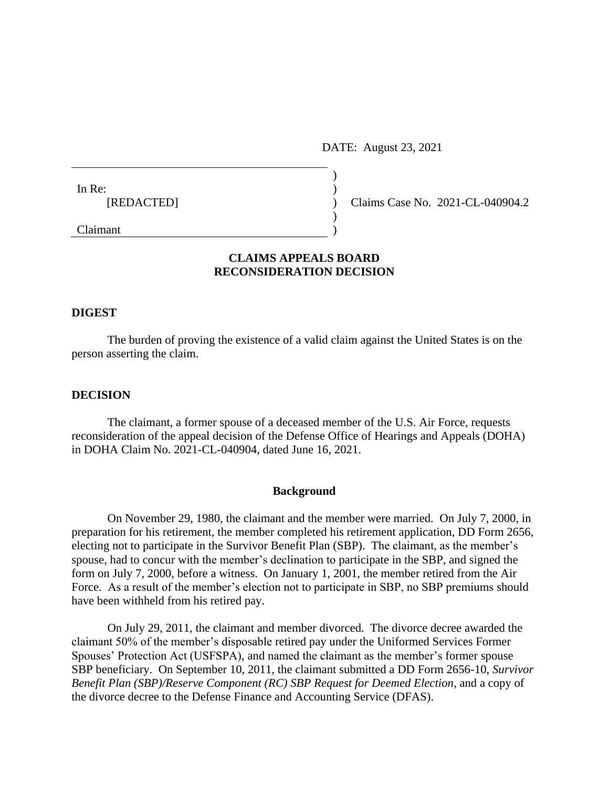DATE: August 23, 2021

| In Re:     |  |                                  |
|------------|--|----------------------------------|
| [REDACTED] |  | Claims Case No. 2021-CL-040904.2 |
|            |  |                                  |
| Claimant   |  |                                  |

# **CLAIMS APPEALS BOARD RECONSIDERATION DECISION**

## **DIGEST**

The burden of proving the existence of a valid claim against the United States is on the person asserting the claim.

## **DECISION**

The claimant, a former spouse of a deceased member of the U.S. Air Force, requests reconsideration of the appeal decision of the Defense Office of Hearings and Appeals (DOHA) in DOHA Claim No. 2021-CL-040904, dated June 16, 2021.

#### **Background**

On November 29, 1980, the claimant and the member were married. On July 7, 2000, in preparation for his retirement, the member completed his retirement application, DD Form 2656, electing not to participate in the Survivor Benefit Plan (SBP). The claimant, as the member's spouse, had to concur with the member's declination to participate in the SBP, and signed the form on July 7, 2000, before a witness. On January 1, 2001, the member retired from the Air Force. As a result of the member's election not to participate in SBP, no SBP premiums should have been withheld from his retired pay.

On July 29, 2011, the claimant and member divorced. The divorce decree awarded the claimant 50% of the member's disposable retired pay under the Uniformed Services Former Spouses' Protection Act (USFSPA), and named the claimant as the member's former spouse SBP beneficiary. On September 10, 2011, the claimant submitted a DD Form 2656-10, *Survivor Benefit Plan (SBP)/Reserve Component (RC) SBP Request for Deemed Election*, and a copy of the divorce decree to the Defense Finance and Accounting Service (DFAS).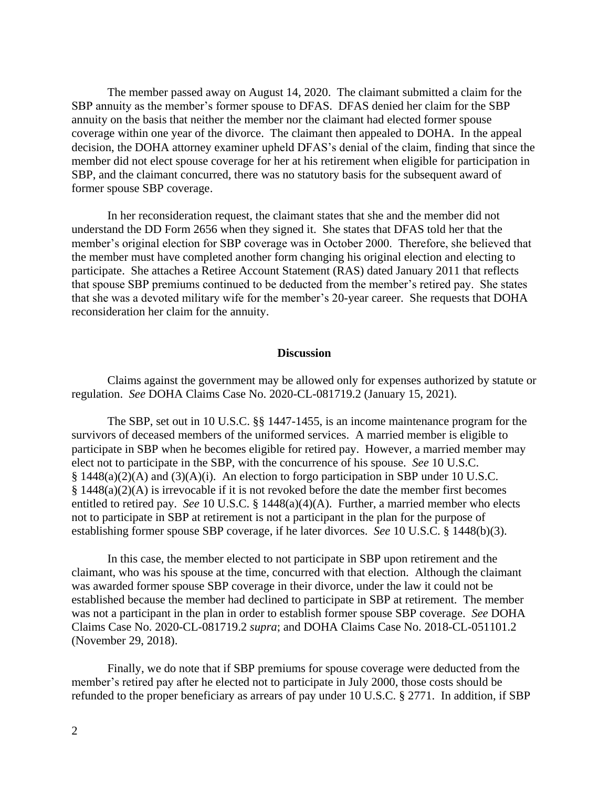The member passed away on August 14, 2020. The claimant submitted a claim for the SBP annuity as the member's former spouse to DFAS. DFAS denied her claim for the SBP annuity on the basis that neither the member nor the claimant had elected former spouse coverage within one year of the divorce. The claimant then appealed to DOHA. In the appeal decision, the DOHA attorney examiner upheld DFAS's denial of the claim, finding that since the member did not elect spouse coverage for her at his retirement when eligible for participation in SBP, and the claimant concurred, there was no statutory basis for the subsequent award of former spouse SBP coverage.

In her reconsideration request, the claimant states that she and the member did not understand the DD Form 2656 when they signed it. She states that DFAS told her that the member's original election for SBP coverage was in October 2000. Therefore, she believed that the member must have completed another form changing his original election and electing to participate. She attaches a Retiree Account Statement (RAS) dated January 2011 that reflects that spouse SBP premiums continued to be deducted from the member's retired pay. She states that she was a devoted military wife for the member's 20-year career. She requests that DOHA reconsideration her claim for the annuity.

## **Discussion**

Claims against the government may be allowed only for expenses authorized by statute or regulation. *See* DOHA Claims Case No. 2020-CL-081719.2 (January 15, 2021).

The SBP, set out in 10 U.S.C. §§ 1447-1455, is an income maintenance program for the survivors of deceased members of the uniformed services. A married member is eligible to participate in SBP when he becomes eligible for retired pay. However, a married member may elect not to participate in the SBP, with the concurrence of his spouse. *See* 10 U.S.C. § 1448(a)(2)(A) and (3)(A)(i). An election to forgo participation in SBP under 10 U.S.C. § 1448(a)(2)(A) is irrevocable if it is not revoked before the date the member first becomes entitled to retired pay. *See* 10 U.S.C. § 1448(a)(4)(A). Further, a married member who elects not to participate in SBP at retirement is not a participant in the plan for the purpose of establishing former spouse SBP coverage, if he later divorces. *See* 10 U.S.C. § 1448(b)(3).

In this case, the member elected to not participate in SBP upon retirement and the claimant, who was his spouse at the time, concurred with that election. Although the claimant was awarded former spouse SBP coverage in their divorce, under the law it could not be established because the member had declined to participate in SBP at retirement. The member was not a participant in the plan in order to establish former spouse SBP coverage. *See* DOHA Claims Case No. 2020-CL-081719.2 *supra*; and DOHA Claims Case No. 2018-CL-051101.2 (November 29, 2018).

Finally, we do note that if SBP premiums for spouse coverage were deducted from the member's retired pay after he elected not to participate in July 2000, those costs should be refunded to the proper beneficiary as arrears of pay under 10 U.S.C. § 2771. In addition, if SBP